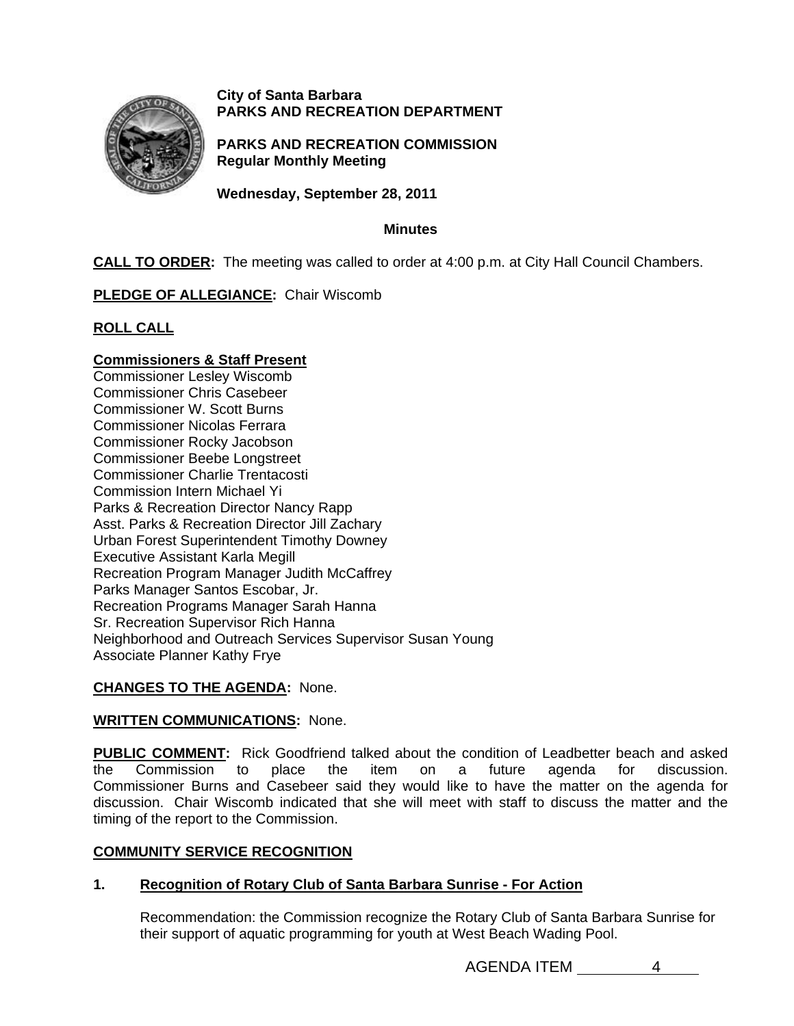

## **City of Santa Barbara PARKS AND RECREATION DEPARTMENT**

**PARKS AND RECREATION COMMISSION Regular Monthly Meeting** 

**Wednesday, September 28, 2011** 

## **Minutes**

**CALL TO ORDER:** The meeting was called to order at 4:00 p.m. at City Hall Council Chambers.

# **PLEDGE OF ALLEGIANCE:** Chair Wiscomb

# **ROLL CALL**

# **Commissioners & Staff Present**

Commissioner Lesley Wiscomb Commissioner Chris Casebeer Commissioner W. Scott Burns Commissioner Nicolas Ferrara Commissioner Rocky Jacobson Commissioner Beebe Longstreet Commissioner Charlie Trentacosti Commission Intern Michael Yi Parks & Recreation Director Nancy Rapp Asst. Parks & Recreation Director Jill Zachary Urban Forest Superintendent Timothy Downey Executive Assistant Karla Megill Recreation Program Manager Judith McCaffrey Parks Manager Santos Escobar, Jr. Recreation Programs Manager Sarah Hanna Sr. Recreation Supervisor Rich Hanna Neighborhood and Outreach Services Supervisor Susan Young Associate Planner Kathy Frye

# **CHANGES TO THE AGENDA:** None.

## **WRITTEN COMMUNICATIONS:** None.

**PUBLIC COMMENT:** Rick Goodfriend talked about the condition of Leadbetter beach and asked the Commission to place the item on a future agenda for discussion. Commissioner Burns and Casebeer said they would like to have the matter on the agenda for discussion. Chair Wiscomb indicated that she will meet with staff to discuss the matter and the timing of the report to the Commission.

# **COMMUNITY SERVICE RECOGNITION**

# **1. Recognition of Rotary Club of Santa Barbara Sunrise - For Action**

Recommendation: the Commission recognize the Rotary Club of Santa Barbara Sunrise for their support of aquatic programming for youth at West Beach Wading Pool.

AGENDA ITEM 4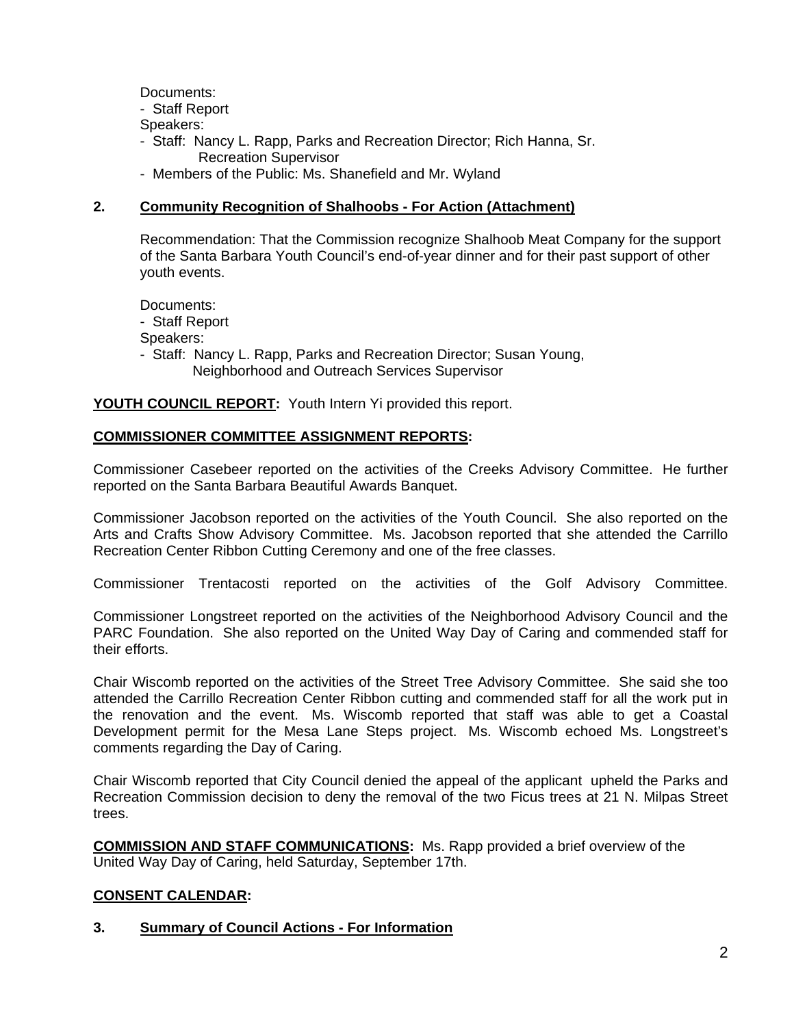Documents:

- Staff Report

- Speakers:
- Staff: Nancy L. Rapp, Parks and Recreation Director; Rich Hanna, Sr. Recreation Supervisor
- Members of the Public: Ms. Shanefield and Mr. Wyland

## **2. Community Recognition of Shalhoobs - For Action (Attachment)**

Recommendation: That the Commission recognize Shalhoob Meat Company for the support of the Santa Barbara Youth Council's end-of-year dinner and for their past support of other youth events.

Documents:

- Staff Report

Speakers:

- Staff: Nancy L. Rapp, Parks and Recreation Director; Susan Young, Neighborhood and Outreach Services Supervisor

**YOUTH COUNCIL REPORT:** Youth Intern Yi provided this report.

## **COMMISSIONER COMMITTEE ASSIGNMENT REPORTS:**

Commissioner Casebeer reported on the activities of the Creeks Advisory Committee. He further reported on the Santa Barbara Beautiful Awards Banquet.

Commissioner Jacobson reported on the activities of the Youth Council. She also reported on the Arts and Crafts Show Advisory Committee. Ms. Jacobson reported that she attended the Carrillo Recreation Center Ribbon Cutting Ceremony and one of the free classes.

Commissioner Trentacosti reported on the activities of the Golf Advisory Committee.

Commissioner Longstreet reported on the activities of the Neighborhood Advisory Council and the PARC Foundation. She also reported on the United Way Day of Caring and commended staff for their efforts.

Chair Wiscomb reported on the activities of the Street Tree Advisory Committee. She said she too attended the Carrillo Recreation Center Ribbon cutting and commended staff for all the work put in the renovation and the event. Ms. Wiscomb reported that staff was able to get a Coastal Development permit for the Mesa Lane Steps project. Ms. Wiscomb echoed Ms. Longstreet's comments regarding the Day of Caring.

Chair Wiscomb reported that City Council denied the appeal of the applicant upheld the Parks and Recreation Commission decision to deny the removal of the two Ficus trees at 21 N. Milpas Street trees.

**COMMISSION AND STAFF COMMUNICATIONS:** Ms. Rapp provided a brief overview of the United Way Day of Caring, held Saturday, September 17th.

## **CONSENT CALENDAR:**

## **3. Summary of Council Actions - For Information**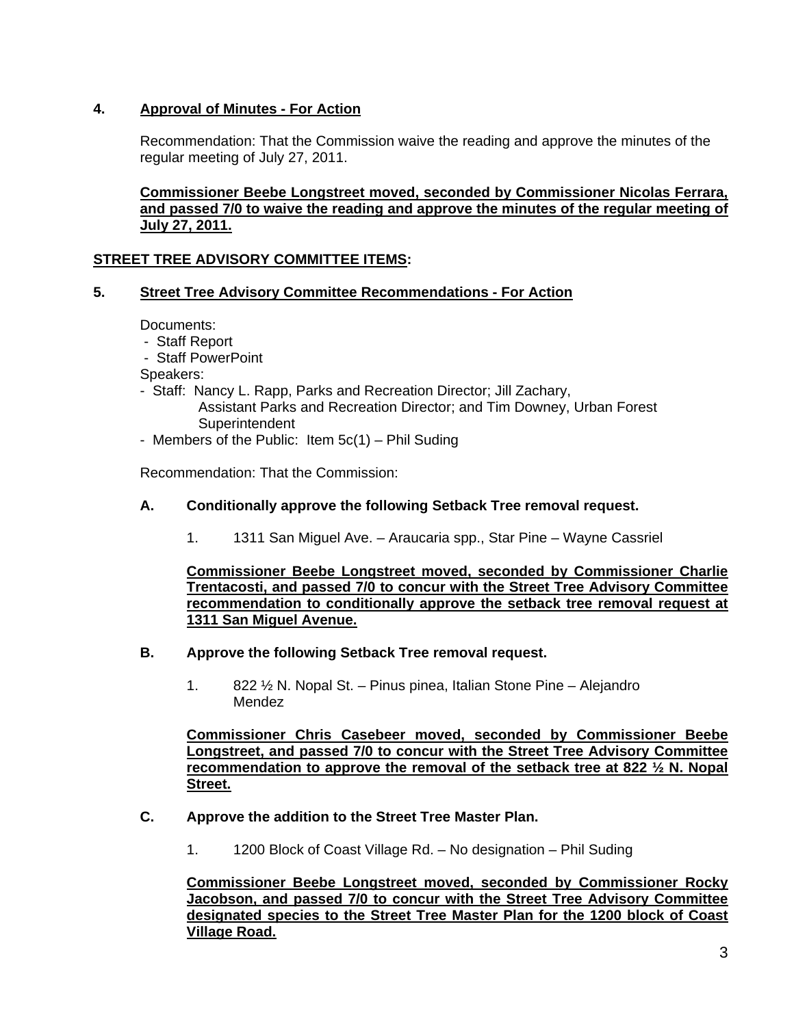## **4. Approval of Minutes - For Action**

Recommendation: That the Commission waive the reading and approve the minutes of the regular meeting of July 27, 2011.

## **Commissioner Beebe Longstreet moved, seconded by Commissioner Nicolas Ferrara, and passed 7/0 to waive the reading and approve the minutes of the regular meeting of July 27, 2011.**

## **STREET TREE ADVISORY COMMITTEE ITEMS:**

## **5. Street Tree Advisory Committee Recommendations - For Action**

Documents:

- Staff Report
- Staff PowerPoint

Speakers:

- Staff: Nancy L. Rapp, Parks and Recreation Director; Jill Zachary, Assistant Parks and Recreation Director; and Tim Downey, Urban Forest **Superintendent**
- Members of the Public: Item 5c(1) Phil Suding

Recommendation: That the Commission:

## **A. Conditionally approve the following Setback Tree removal request.**

1. 1311 San Miguel Ave. – Araucaria spp., Star Pine – Wayne Cassriel

**Commissioner Beebe Longstreet moved, seconded by Commissioner Charlie Trentacosti, and passed 7/0 to concur with the Street Tree Advisory Committee recommendation to conditionally approve the setback tree removal request at 1311 San Miguel Avenue.** 

#### **B. Approve the following Setback Tree removal request.**

 1. 822 ½ N. Nopal St. – Pinus pinea, Italian Stone Pine – Alejandro Mendez

**Commissioner Chris Casebeer moved, seconded by Commissioner Beebe Longstreet, and passed 7/0 to concur with the Street Tree Advisory Committee recommendation to approve the removal of the setback tree at 822 ½ N. Nopal Street.** 

#### **C. Approve the addition to the Street Tree Master Plan.**

1. 1200 Block of Coast Village Rd. – No designation – Phil Suding

**Commissioner Beebe Longstreet moved, seconded by Commissioner Rocky Jacobson, and passed 7/0 to concur with the Street Tree Advisory Committee designated species to the Street Tree Master Plan for the 1200 block of Coast Village Road.**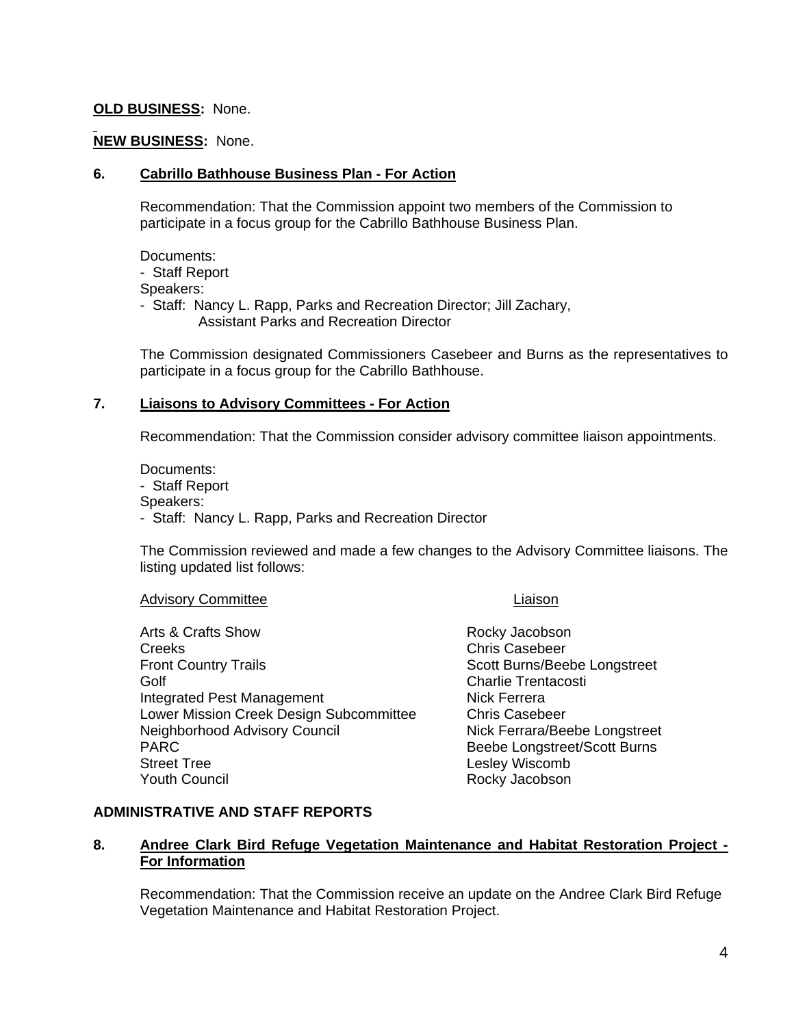## **OLD BUSINESS:** None.

### **NEW BUSINESS:** None.

#### **6. Cabrillo Bathhouse Business Plan - For Action**

Recommendation: That the Commission appoint two members of the Commission to participate in a focus group for the Cabrillo Bathhouse Business Plan.

Documents: - Staff Report Speakers: - Staff: Nancy L. Rapp, Parks and Recreation Director; Jill Zachary, Assistant Parks and Recreation Director

The Commission designated Commissioners Casebeer and Burns as the representatives to participate in a focus group for the Cabrillo Bathhouse.

## **7. Liaisons to Advisory Committees - For Action**

Recommendation: That the Commission consider advisory committee liaison appointments.

Documents: - Staff Report Speakers: - Staff: Nancy L. Rapp, Parks and Recreation Director

The Commission reviewed and made a few changes to the Advisory Committee liaisons. The listing updated list follows:

#### Advisory Committee **Light Committee Light Committee** Light Committee Light Committee

Arts & Crafts Show **Rocky Jacobson** Creeks **Creeks** Chris Casebeer Front Country Trails **Scott Burns**/Beebe Longstreet Golf Charlie Trentacosti Integrated Pest Management Nick Ferrera Lower Mission Creek Design Subcommittee Chris Casebeer Neighborhood Advisory Council Nick Ferrara/Beebe Longstreet PARC **Beebe** Longstreet/Scott Burns Street Tree Lesley Wiscomb **Youth Council Council Rocky Jacobson** 

## **ADMINISTRATIVE AND STAFF REPORTS**

## **8. Andree Clark Bird Refuge Vegetation Maintenance and Habitat Restoration Project - For Information**

Recommendation: That the Commission receive an update on the Andree Clark Bird Refuge Vegetation Maintenance and Habitat Restoration Project.